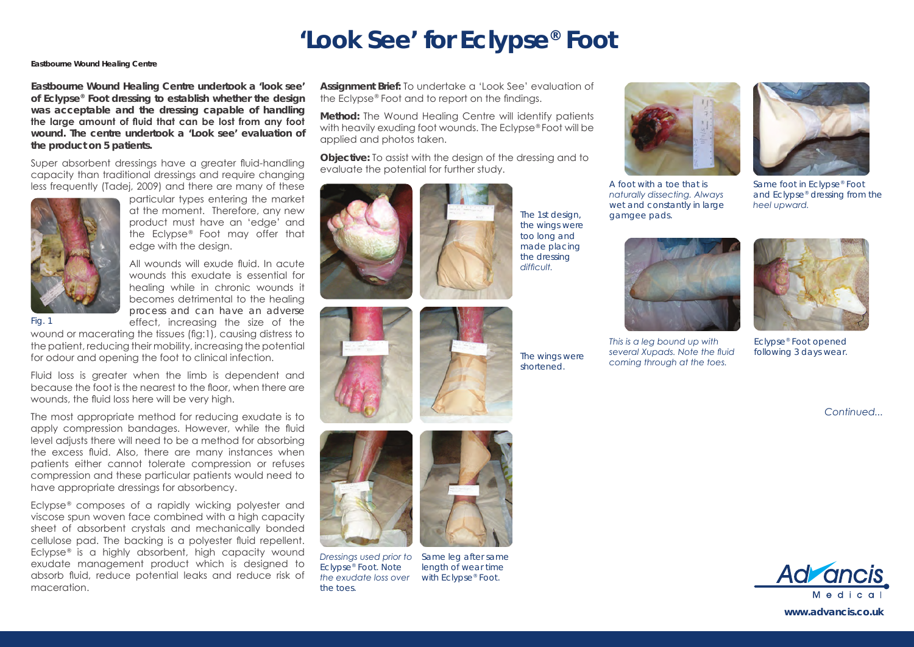## **'Look See' for Eclypse® Foot**

## **Eastbourne Wound Healing Centre**

**Eastbourne Wound Healing Centre undertook a 'look see' of Eclypse® Foot dressing to establish whether the design was acceptable and the dressing capable of handling the large amount of fluid that can be lost from any foot wound. The centre undertook a 'Look see' evaluation of the product on 5 patients.**

Super absorbent dressings have a greater fluid-handling capacity than traditional dressings and require changing less frequently (Tadej, 2009) and there are many of these



particular types entering the market at the moment. Therefore, any new product must have an 'edge' and the Eclypse® Foot may offer that edge with the design.

All wounds will exude fluid. In acute wounds this exudate is essential for healing while in chronic wounds it becomes detrimental to the healing process and can have an adverse effect, increasing the size of the

wound or macerating the tissues (fig:1), causing distress to the patient, reducing their mobility, increasing the potential for odour and opening the foot to clinical infection.

Fluid loss is greater when the limb is dependent and because the foot is the nearest to the floor, when there are wounds, the fluid loss here will be very high.

The most appropriate method for reducing exudate is to apply compression bandages. However, while the fluid level adjusts there will need to be a method for absorbing the excess fluid. Also, there are many instances when patients either cannot tolerate compression or refuses compression and these particular patients would need to have appropriate dressings for absorbency.

Eclypse® composes of a rapidly wicking polyester and viscose spun woven face combined with a high capacity sheet of absorbent crystals and mechanically bonded cellulose pad. The backing is a polyester fluid repellent. Eclypse® is a highly absorbent, high capacity wound exudate management product which is designed to absorb fluid, reduce potential leaks and reduce risk of maceration.

**Assignment Brief:** To undertake a 'Look See' evaluation of the Eclypse® Foot and to report on the findings.

**Method:** The Wound Healing Centre will identify patients with heavily exuding foot wounds. The Eclypse® Foot will be applied and photos taken.

**Objective:** To assist with the design of the dressing and to evaluate the potential for further study.





*The 1st design, the wings were too long and made placing the dressing difficult.*

*The wings were shortened.*





*Dressings used prior to Eclypse® Foot. Note the exudate loss over the toes.*



*Same leg after same length of wear time with Eclypse® Foot.*



*A foot with a toe that is naturally dissecting. Always wet and constantly in large gamgee pads.*



*Same foot in Eclypse® Foot and Eclypse® dressing from the heel upward.*



*This is a leg bound up with several Xupads. Note the fluid coming through at the toes.*



*Eclypse® Foot opened following 3 days wear.*

*Continued...*